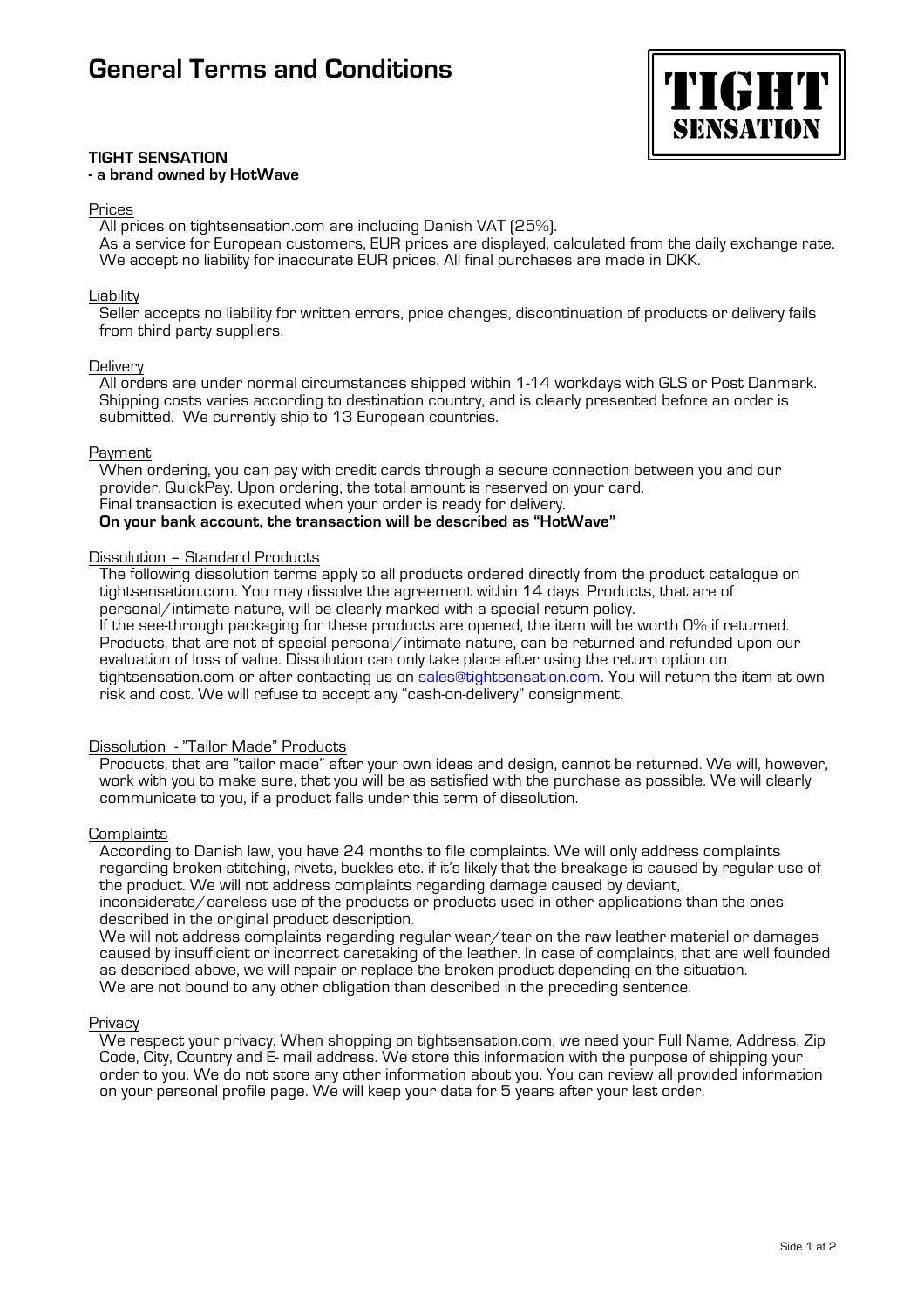

#### **TIGHT SENSATION - a brand owned by HotWave**

#### Prices

All prices on tightsensation.com are including Danish VAT (25%).

As a service for European customers, EUR prices are displayed, calculated from the daily exchange rate. We accept no liability for inaccurate EUR prices. All final purchases are made in DKK.

## Liability

Seller accepts no liability for written errors, price changes, discontinuation of products or delivery fails from third party suppliers.

# **Delivery**

All orders are under normal circumstances shipped within 1-14 workdays with GLS or Post Danmark. Shipping costs varies according to destination country, and is clearly presented before an order is submitted. We currently ship to 13 European countries.

# Payment

When ordering, you can pay with credit cards through a secure connection between you and our provider, QuickPay. Upon ordering, the total amount is reserved on your card. Final transaction is executed when your order is ready for delivery. **On your bank account, the transaction will be described as "HotWave"**

# Dissolution – Standard Products

The following dissolution terms apply to all products ordered directly from the product catalogue on tightsensation.com. You may dissolve the agreement within 14 days. Products, that are of personal/intimate nature, will be clearly marked with a special return policy. If the see-through packaging for these products are opened, the item will be worth 0% if returned. Products, that are not of special personal/intimate nature, can be returned and refunded upon our evaluation of loss of value. Dissolution can only take place after using the return option on

tightsensation.com or after contacting us on sales@tightsensation.com. You will return the item at own risk and cost. We will refuse to accept any "cash-on-delivery" consignment.

# Dissolution - "Tailor Made" Products

Products, that are "tailor made" after your own ideas and design, cannot be returned. We will, however, work with you to make sure, that you will be as satisfied with the purchase as possible. We will clearly communicate to you, if a product falls under this term of dissolution.

#### **Complaints**

According to Danish law, you have 24 months to file complaints. We will only address complaints regarding broken stitching, rivets, buckles etc. if it's likely that the breakage is caused by regular use of the product. We will not address complaints regarding damage caused by deviant,

inconsiderate/careless use of the products or products used in other applications than the ones described in the original product description.

We will not address complaints regarding regular wear/tear on the raw leather material or damages caused by insufficient or incorrect caretaking of the leather. In case of complaints, that are well founded as described above, we will repair or replace the broken product depending on the situation. We are not bound to any other obligation than described in the preceding sentence.

#### Privacy

We respect your privacy. When shopping on tightsensation.com, we need your Full Name, Address, Zip Code, City, Country and E- mail address. We store this information with the purpose of shipping your order to you. We do not store any other information about you. You can review all provided information on your personal profile page. We will keep your data for 5 years after your last order.